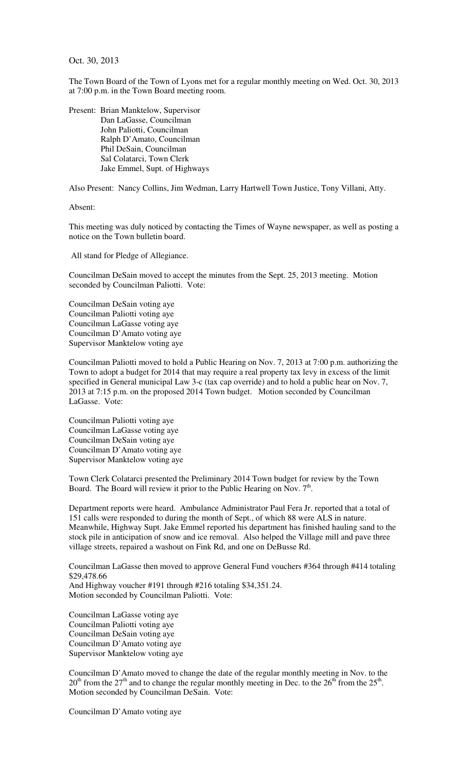Oct. 30, 2013

The Town Board of the Town of Lyons met for a regular monthly meeting on Wed. Oct. 30, 2013 at 7:00 p.m. in the Town Board meeting room.

Present: Brian Manktelow, Supervisor Dan LaGasse, Councilman John Paliotti, Councilman Ralph D'Amato, Councilman Phil DeSain, Councilman Sal Colatarci, Town Clerk Jake Emmel, Supt. of Highways

Also Present: Nancy Collins, Jim Wedman, Larry Hartwell Town Justice, Tony Villani, Atty.

Absent:

This meeting was duly noticed by contacting the Times of Wayne newspaper, as well as posting a notice on the Town bulletin board.

All stand for Pledge of Allegiance.

Councilman DeSain moved to accept the minutes from the Sept. 25, 2013 meeting. Motion seconded by Councilman Paliotti. Vote:

Councilman DeSain voting aye Councilman Paliotti voting aye Councilman LaGasse voting aye Councilman D'Amato voting aye Supervisor Manktelow voting aye

Councilman Paliotti moved to hold a Public Hearing on Nov. 7, 2013 at 7:00 p.m. authorizing the Town to adopt a budget for 2014 that may require a real property tax levy in excess of the limit specified in General municipal Law 3-c (tax cap override) and to hold a public hear on Nov. 7, 2013 at 7:15 p.m. on the proposed 2014 Town budget. Motion seconded by Councilman LaGasse. Vote:

Councilman Paliotti voting aye Councilman LaGasse voting aye Councilman DeSain voting aye Councilman D'Amato voting aye Supervisor Manktelow voting aye

Town Clerk Colatarci presented the Preliminary 2014 Town budget for review by the Town Board. The Board will review it prior to the Public Hearing on Nov.  $7<sup>th</sup>$ .

Department reports were heard. Ambulance Administrator Paul Fera Jr. reported that a total of 151 calls were responded to during the month of Sept., of which 88 were ALS in nature. Meanwhile, Highway Supt. Jake Emmel reported his department has finished hauling sand to the stock pile in anticipation of snow and ice removal. Also helped the Village mill and pave three village streets, repaired a washout on Fink Rd, and one on DeBusse Rd.

Councilman LaGasse then moved to approve General Fund vouchers #364 through #414 totaling \$29,478.66 And Highway voucher #191 through #216 totaling \$34,351.24. Motion seconded by Councilman Paliotti. Vote:

Councilman LaGasse voting aye Councilman Paliotti voting aye Councilman DeSain voting aye Councilman D'Amato voting aye Supervisor Manktelow voting aye

Councilman D'Amato moved to change the date of the regular monthly meeting in Nov. to the  $20<sup>th</sup>$  from the  $27<sup>th</sup>$  and to change the regular monthly meeting in Dec. to the  $26<sup>th</sup>$  from the  $25<sup>th</sup>$ . Motion seconded by Councilman DeSain. Vote:

Councilman D'Amato voting aye